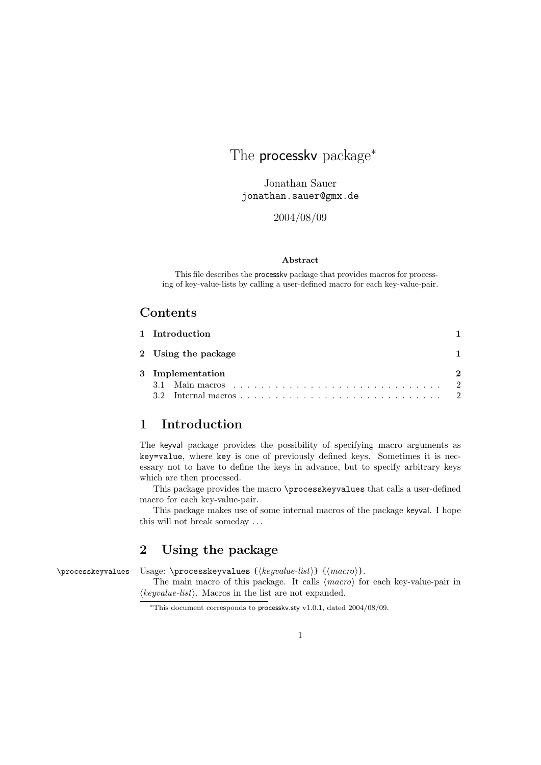# The **processkv** package<sup>\*</sup>

Jonathan Sauer jonathan.sauer@gmx.de

2004/08/09

#### Abstract

This file describes the processkv package that provides macros for processing of key-value-lists by calling a user-defined macro for each key-value-pair.

### Contents

| 1 Introduction      |          |
|---------------------|----------|
| 2 Using the package |          |
| 3 Implementation    | $\Omega$ |
|                     |          |

## 1 Introduction

The keyval package provides the possibility of specifying macro arguments as key=value, where key is one of previously defined keys. Sometimes it is necessary not to have to define the keys in advance, but to specify arbitrary keys which are then processed.

This package provides the macro \processkeyvalues that calls a user-defined macro for each key-value-pair.

This package makes use of some internal macros of the package keyval. I hope this will not break someday . . .

### 2 Using the package

\processkeyvalues Usage: \processkeyvalues  ${\langle keyvalue-list \rangle} {\langle macro \rangle}.$ 

The main macro of this package. It calls  $\langle macro \rangle$  for each key-value-pair in  $\langle keyvalue-list \rangle$ . Macros in the list are not expanded.

<sup>\*</sup>This document corresponds to processky.sty v1.0.1, dated 2004/08/09.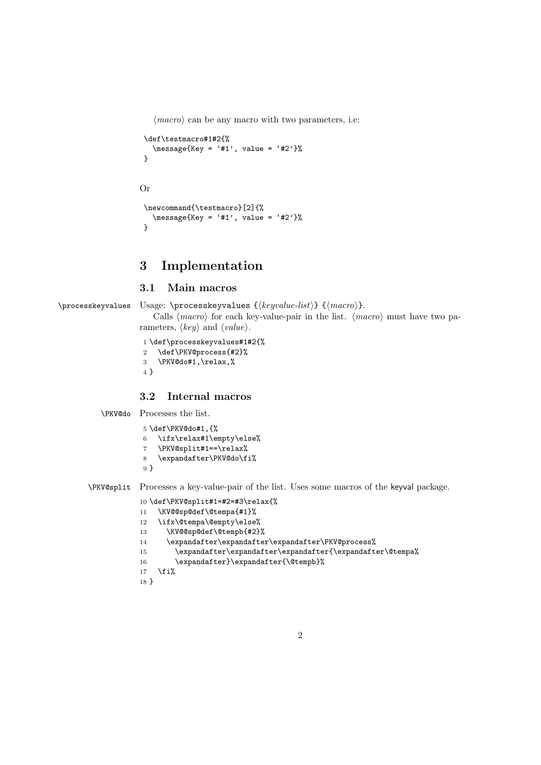$\langle macro\rangle$  can be any macro with two parameters, i.e:

```
\def\testmacro#1#2{%
  \text{Message{Key} = '#1', value = '#2'}\%}
```
#### Or

```
\newcommand{\testmacro}[2]{%
  \text{message{Key} = '#1', value = '#2'}}
```
## 3 Implementation

#### 3.1 Main macros

\processkeyvalues Usage: \processkeyvalues  $\{ \negthinspace \langle \negthinspace \rangle \} \ \{ \negthinspace \langle \negthinspace \rangle \}.$ Calls  $\langle macro\rangle$  for each key-value-pair in the list.  $\langle macro\rangle$  must have two parameters,  $\langle key \rangle$  and  $\langle value \rangle$ .

```
1 \def\processkeyvalues#1#2{%
2 \def\PKV@process{#2}%
3 \PKV@do#1,\relax,%
4 }
```
#### 3.2 Internal macros

\PKV@do Processes the list.

```
5 \def\PKV@do#1,{%
6 \ifx\relax#1\empty\else%
7 \PKV@split#1==\relax%
8 \expandafter\PKV@do\fi%
9 }
```
\PKV@split Processes a key-value-pair of the list. Uses some macros of the keyval package.

```
10 \def\PKV@split#1=#2=#3\relax{%
11 \KV@@sp@def\@tempa{#1}%
12 \ifx\@tempa\@empty\else%
13 \KV@@sp@def\@tempb{#2}%
```

```
14 \expandafter\expandafter\expandafter\PKV@process%
```

```
15 \expandafter\expandafter\expandafter{\expandafter\@tempa%
```

```
16 \expandafter}\expandafter{\@tempb}%
```

```
17 \fi%
```

```
18 }
```